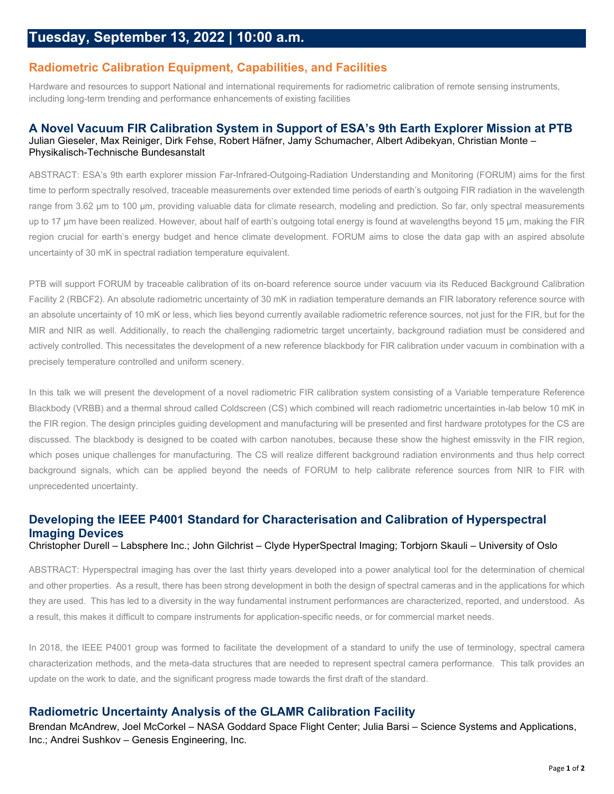# **Radiometric Calibration Equipment, Capabilities, and Facilities**

Hardware and resources to support National and international requirements for radiometric calibration of remote sensing instruments, including long-term trending and performance enhancements of existing facilities

#### **A Novel Vacuum FIR Calibration System in Support of ESA's 9th Earth Explorer Mission at PTB** Julian Gieseler, Max Reiniger, Dirk Fehse, Robert Häfner, Jamy Schumacher, Albert Adibekyan, Christian Monte – Physikalisch-Technische Bundesanstalt

ABSTRACT: ESA's 9th earth explorer mission Far-Infrared-Outgoing-Radiation Understanding and Monitoring (FORUM) aims for the first time to perform spectrally resolved, traceable measurements over extended time periods of earth's outgoing FIR radiation in the wavelength range from 3.62 µm to 100 µm, providing valuable data for climate research, modeling and prediction. So far, only spectral measurements up to 17 µm have been realized. However, about half of earth's outgoing total energy is found at wavelengths beyond 15 µm, making the FIR region crucial for earth's energy budget and hence climate development. FORUM aims to close the data gap with an aspired absolute uncertainty of 30 mK in spectral radiation temperature equivalent.

PTB will support FORUM by traceable calibration of its on-board reference source under vacuum via its Reduced Background Calibration Facility 2 (RBCF2). An absolute radiometric uncertainty of 30 mK in radiation temperature demands an FIR laboratory reference source with an absolute uncertainty of 10 mK or less, which lies beyond currently available radiometric reference sources, not just for the FIR, but for the MIR and NIR as well. Additionally, to reach the challenging radiometric target uncertainty, background radiation must be considered and actively controlled. This necessitates the development of a new reference blackbody for FIR calibration under vacuum in combination with a precisely temperature controlled and uniform scenery.

In this talk we will present the development of a novel radiometric FIR calibration system consisting of a Variable temperature Reference Blackbody (VRBB) and a thermal shroud called Coldscreen (CS) which combined will reach radiometric uncertainties in-lab below 10 mK in the FIR region. The design principles guiding development and manufacturing will be presented and first hardware prototypes for the CS are discussed. The blackbody is designed to be coated with carbon nanotubes, because these show the highest emissvity in the FIR region, which poses unique challenges for manufacturing. The CS will realize different background radiation environments and thus help correct background signals, which can be applied beyond the needs of FORUM to help calibrate reference sources from NIR to FIR with unprecedented uncertainty.

### **Developing the IEEE P4001 Standard for Characterisation and Calibration of Hyperspectral Imaging Devices** Christopher Durell – Labsphere Inc.; John Gilchrist – Clyde HyperSpectral Imaging; Torbjorn Skauli – University of Oslo

ABSTRACT: Hyperspectral imaging has over the last thirty years developed into a power analytical tool for the determination of chemical and other properties. As a result, there has been strong development in both the design of spectral cameras and in the applications for which they are used. This has led to a diversity in the way fundamental instrument performances are characterized, reported, and understood. As a result, this makes it difficult to compare instruments for application-specific needs, or for commercial market needs.

In 2018, the IEEE P4001 group was formed to facilitate the development of a standard to unify the use of terminology, spectral camera characterization methods, and the meta-data structures that are needed to represent spectral camera performance. This talk provides an update on the work to date, and the significant progress made towards the first draft of the standard.

## **Radiometric Uncertainty Analysis of the GLAMR Calibration Facility**

Brendan McAndrew, Joel McCorkel – NASA Goddard Space Flight Center; Julia Barsi – Science Systems and Applications, Inc.; Andrei Sushkov – Genesis Engineering, Inc.